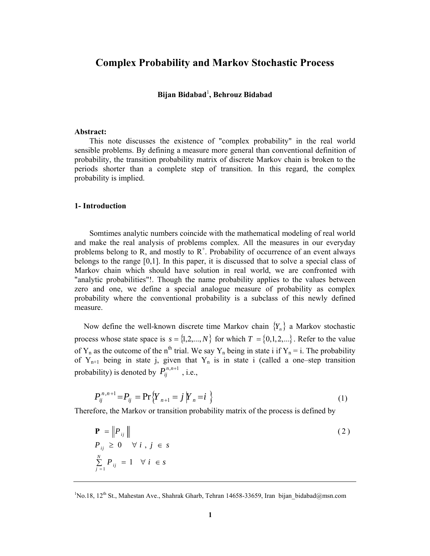# **Complex Probability and Markov Stochastic Process**

## **Bijan Bidabad**<sup>1</sup> **, Behrouz Bidabad**

#### **Abstract:**

This note discusses the existence of "complex probability" in the real world sensible problems. By defining a measure more general than conventional definition of probability, the transition probability matrix of discrete Markov chain is broken to the periods shorter than a complete step of transition. In this regard, the complex probability is implied.

#### **1- Introduction**

Somtimes analytic numbers coincide with the mathematical modeling of real world and make the real analysis of problems complex. All the measures in our everyday problems belong to R, and mostly to  $R^+$ . Probability of occurrence of an event always belongs to the range [0,1]. In this paper, it is discussed that to solve a special class of Markov chain which should have solution in real world, we are confronted with "analytic probabilities"!. Though the name probability applies to the values between zero and one, we define a special analogue measure of probability as complex probability where the conventional probability is a subclass of this newly defined measure.

Now define the well-known discrete time Markov chain  ${Y_n}$  a Markov stochastic process whose state space is  $s = \{1, 2, ..., N\}$  for which  $T = \{0, 1, 2, ...\}$ . Refer to the value of Y<sub>n</sub> as the outcome of the n<sup>th</sup> trial. We say Y<sub>n</sub> being in state i if Y<sub>n</sub> = i. The probability of  $Y_{n+1}$  being in state j, given that  $Y_n$  is in state i (called a one–step transition probability) is denoted by  $P_{ii}^{n,n+1}$ , i.e.,

$$
P_{ij}^{n,n+1} = P_{ij} = \Pr\{Y_{n+1} = j \mid Y_n = i\}
$$
 (1)

Therefore, the Markov or transition probability matrix of the process is defined by

$$
\mathbf{P} = \left\| P_{ij} \right\|
$$
  
\n
$$
P_{ij} \ge 0 \quad \forall i, j \in s
$$
  
\n
$$
\sum_{j=1}^{N} P_{ij} = 1 \quad \forall i \in s
$$
 (2)

 ${}^{1}$ No.18, 12<sup>th</sup> St., Mahestan Ave., Shahrak Gharb, Tehran 14658-33659, Iran bijan bidabad@msn.com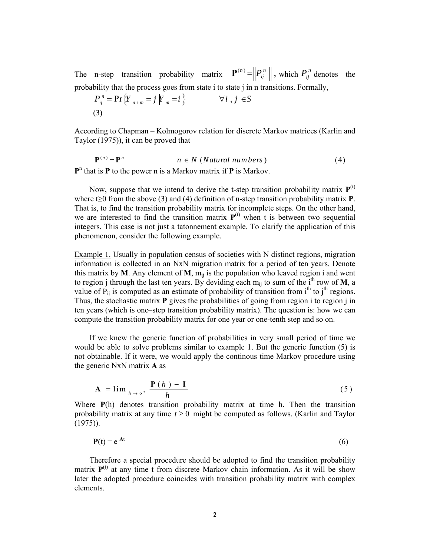The n-step transition probability matrix  $\mathbf{P}^{(n)} = ||P_{ij}^n||$ , which  $P_{ij}^n$  denotes the probability that the process goes from state i to state j in n transitions. Formally,

$$
P_{ij}^{n} = \Pr\left\{Y_{n+m} = j \middle| Y_{m} = i\right\} \qquad \forall i, j \in S
$$
\n(3)

According to Chapman – Kolmogorov relation for discrete Markov matrices (Karlin and Taylor (1975)), it can be proved that

$$
\mathbf{P}^{(n)} = \mathbf{P}^n \qquad n \in N \text{ (Natural numbers)}
$$
 (4)

 $P<sup>n</sup>$  that is **P** to the power n is a Markov matrix if **P** is Markov.

Now, suppose that we intend to derive the t-step transition probability matrix  $P^{(t)}$ where t≥0 from the above (3) and (4) definition of n-step transition probability matrix **P**. That is, to find the transition probability matrix for incomplete steps. On the other hand, we are interested to find the transition matrix  $P^{(t)}$  when t is between two sequential integers. This case is not just a tatonnement example. To clarify the application of this phenomenon, consider the following example.

Example 1. Usually in population census of societies with N distinct regions, migration information is collected in an NxN migration matrix for a period of ten years. Denote this matrix by **M**. Any element of **M**,  $m_{ij}$  is the population who leaved region i and went to region j through the last ten years. By deviding each m<sub>ij</sub> to sum of the i<sup>th</sup> row of **M**, a value of  $\tilde{P}_{ii}$  is computed as an estimate of probability of transition from i<sup>th</sup> to j<sup>th</sup> regions. Thus, the stochastic matrix **P** gives the probabilities of going from region i to region j in ten years (which is one–step transition probability matrix). The question is: how we can compute the transition probability matrix for one year or one-tenth step and so on.

 If we knew the generic function of probabilities in very small period of time we would be able to solve problems similar to example 1. But the generic function (5) is not obtainable. If it were, we would apply the continous time Markov procedure using the generic NxN matrix **A** as

$$
\mathbf{A} = \lim_{h \to o^+} \frac{\mathbf{P}(h) - \mathbf{I}}{h} \tag{5}
$$

Where **P**(h) denotes transition probability matrix at time h. Then the transition probability matrix at any time  $t \geq 0$  might be computed as follows. (Karlin and Taylor (1975)).

$$
\mathbf{P}(t) = e^{At} \tag{6}
$$

 Therefore a special procedure should be adopted to find the transition probability matrix  $P^{(t)}$  at any time t from discrete Markov chain information. As it will be show later the adopted procedure coincides with transition probability matrix with complex elements.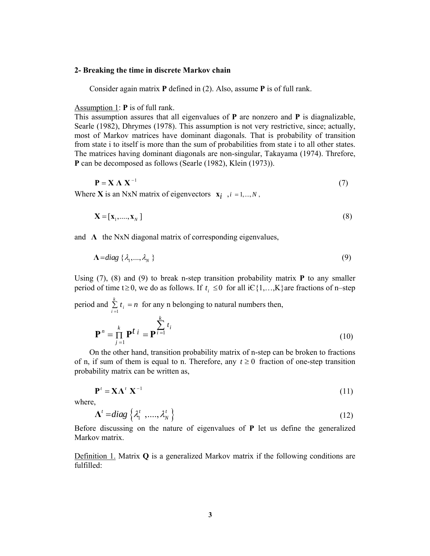#### **2- Breaking the time in discrete Markov chain**

Consider again matrix **P** defined in (2). Also, assume **P** is of full rank.

Assumption 1: **P** is of full rank.

This assumption assures that all eigenvalues of **P** are nonzero and **P** is diagnalizable, Searle (1982), Dhrymes (1978). This assumption is not very restrictive, since; actually, most of Markov matrices have dominant diagonals. That is probability of transition from state i to itself is more than the sum of probabilities from state i to all other states. The matrices having dominant diagonals are non-singular, Takayama (1974). Threfore, **P** can be decomposed as follows (Searle (1982), Klein (1973)).

$$
\mathbf{P} = \mathbf{X} \mathbf{\Lambda} \mathbf{X}^{-1} \tag{7}
$$

Where **X** is an NxN matrix of eigenvectors  $\mathbf{x}_i$ ,  $i = 1,..., N$ ,

$$
\mathbf{X} = [\mathbf{x}_1, \dots, \mathbf{x}_N] \tag{8}
$$

and **Λ** the NxN diagonal matrix of corresponding eigenvalues,

$$
\Lambda = diag\{\lambda_1, ..., \lambda_N\}
$$
 (9)

Using (7), (8) and (9) to break n-step transition probability matrix **P** to any smaller period of time t  $\geq 0$ , we do as follows. If  $t_i \leq 0$  for all i $\in \{1,...,K\}$  are fractions of n–step period and  $\sum_{i=1}^{k}$  $\sum_{i=1}^{n} t_i = n$  for any n belonging to natural numbers then,

$$
\mathbf{P}^n = \prod_{j=1}^k \mathbf{P}^t \, i = \mathbf{P}^{\sum_{i=1}^k t_i} \tag{10}
$$

 On the other hand, transition probability matrix of n-step can be broken to fractions of n, if sum of them is equal to n. Therefore, any  $t \ge 0$  fraction of one-step transition probability matrix can be written as,

$$
\mathbf{P}^t = \mathbf{X} \mathbf{\Lambda}^t \mathbf{X}^{-1} \tag{11}
$$

where,

$$
\Lambda^t = diag\left\{ \lambda_1^t, \dots, \lambda_N^t \right\}
$$
 (12)

Before discussing on the nature of eigenvalues of **P** let us define the generalized Markov matrix.

Definition 1. Matrix **Q** is a generalized Markov matrix if the following conditions are fulfilled: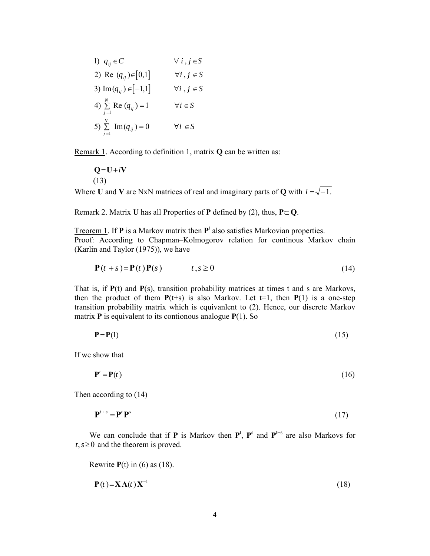1) 
$$
q_{ij} \in C
$$
  $\forall i, j \in S$   
\n2) Re  $(q_{ij}) \in [0,1]$   $\forall i, j \in S$   
\n3) Im $(q_{ij}) \in [-1,1]$   $\forall i, j \in S$   
\n4)  $\sum_{j=1}^{N} \text{Re}(q_{ij}) = 1$   $\forall i \in S$   
\n5)  $\sum_{j=1}^{N} \text{Im}(q_{ij}) = 0$   $\forall i \in S$ 

Remark 1. According to definition 1, matrix **Q** can be written as:

 $Q = U + iV$ (13)

Where **U** and **V** are NxN matrices of real and imaginary parts of **Q** with  $i = \sqrt{-1}$ .

Remark 2. Matrix **U** has all Properties of **P** defined by (2), thus,  $P \subset Q$ .

Treorem 1. If  $P$  is a Markov matrix then  $P<sup>t</sup>$  also satisfies Markovian properties. Proof: According to Chapman–Kolmogorov relation for continous Markov chain (Karlin and Taylor (1975)), we have

$$
\mathbf{P}(t+s) = \mathbf{P}(t)\mathbf{P}(s) \qquad \qquad t,s \ge 0 \tag{14}
$$

That is, if **P**(t) and **P**(s), transition probability matrices at times t and s are Markovs, then the product of them  $P(t+s)$  is also Markov. Let  $t=1$ , then  $P(1)$  is a one-step transition probability matrix which is equivanlent to (2). Hence, our discrete Markov matrix **P** is equivalent to its contionous analogue **P**(1). So

$$
P = P(1) \tag{15}
$$

If we show that

$$
\mathbf{P}' = \mathbf{P}(t) \tag{16}
$$

Then according to (14)

$$
\mathbf{P}^{t+s} = \mathbf{P}^t \mathbf{P}^s \tag{17}
$$

We can conclude that if **P** is Markov then  $P^t$ ,  $P^s$  and  $P^{t+s}$  are also Markovs for  $t, s \geq 0$  and the theorem is proved.

Rewrite **P**(t) in (6) as (18).

$$
\mathbf{P}(t) = \mathbf{X}\Lambda(t)\mathbf{X}^{-1} \tag{18}
$$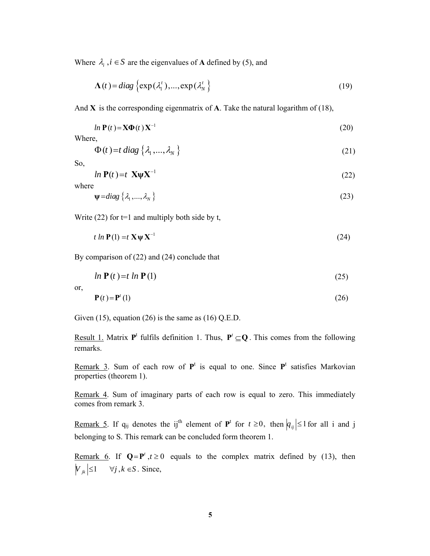Where  $\lambda_i$ ,  $i \in S$  are the eigenvalues of **A** defined by (5), and

$$
\Lambda(t) = diag\left\{ \exp(\lambda_1^t), \dots, \exp(\lambda_N^t) \right\}
$$
 (19)

And **X** is the corresponding eigenmatrix of **A**. Take the natural logarithm of (18),

$$
ln \mathbf{P}(t) = \mathbf{X}\mathbf{\Phi}(t) \mathbf{X}^{-1}
$$
\n(20)

Where,

$$
\Phi(t) = t \operatorname{diag} \{ \lambda_1, \dots, \lambda_N \} \tag{21}
$$

So,

$$
ln \mathbf{P}(t) = t \mathbf{X} \mathbf{\Psi} \mathbf{X}^{-1}
$$
 (22)

where

$$
\psi = diag\{\lambda_1, ..., \lambda_N\}
$$
 (23)

Write  $(22)$  for t=1 and multiply both side by t,

$$
t \ln \mathbf{P}(1) = t \mathbf{X} \mathbf{\Psi} \mathbf{X}^{-1} \tag{24}
$$

By comparison of (22) and (24) conclude that

$$
ln \mathbf{P}(t) = t ln \mathbf{P}(1) \tag{25}
$$

or,

$$
\mathbf{P}(t) = \mathbf{P}'(1) \tag{26}
$$

Given  $(15)$ , equation  $(26)$  is the same as  $(16)$  Q.E.D.

Result 1. Matrix  $P^t$  fulfils definition 1. Thus,  $P' \subseteq Q$ . This comes from the following remarks.

Remark 3. Sum of each row of  $P^t$  is equal to one. Since  $P^t$  satisfies Markovian properties (theorem 1).

Remark 4. Sum of imaginary parts of each row is equal to zero. This immediately comes from remark 3.

Remark 5. If  $q_{ij}$  denotes the ij<sup>th</sup> element of  $P^t$  for  $t \ge 0$ , then  $|q_{ij}| \le 1$  for all i and j belonging to S. This remark can be concluded form theorem 1.

Remark 6. If  $Q = P^t$ ,  $t \ge 0$  equals to the complex matrix defined by (13), then  $|V_{ik}| \leq 1 \quad \forall j, k \in S$ . Since,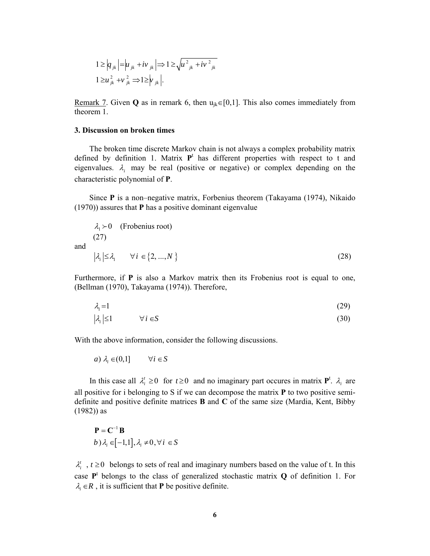$$
1 \ge |q_{jk}| = |u_{jk} + iv_{jk}| \Rightarrow 1 \ge \sqrt{u_{jk}^2 + iv_{jk}^2}
$$
  

$$
1 \ge u_{jk}^2 + v_{jk}^2 \Rightarrow 1 \ge |v_{jk}|.
$$

<u>Remark 7</u>. Given **Q** as in remark 6, then  $u_{ik} \in [0,1]$ . This also comes immediately from theorem 1.

#### **3. Discussion on broken times**

and

 The broken time discrete Markov chain is not always a complex probability matrix defined by definition 1. Matrix  $P<sup>t</sup>$  has different properties with respect to t and eigenvalues.  $\lambda_i$  may be real (positive or negative) or complex depending on the characteristic polynomial of **P**.

 Since **P** is a non–negative matrix, Forbenius theorem (Takayama (1974), Nikaido (1970)) assures that **P** has a positive dominant eigenvalue

$$
\lambda_1 \succ 0 \quad \text{(Frobenius root)}(27)
$$
|\lambda_i| \le \lambda_1 \qquad \forall i \in \{2, ..., N\}
$$
 (28)
$$

Furthermore, if **P** is also a Markov matrix then its Frobenius root is equal to one, (Bellman (1970), Takayama (1974)). Therefore,

$$
\lambda_1 = 1 \tag{29}
$$

$$
\lambda_i \leq 1 \qquad \forall i \in S \tag{30}
$$

With the above information, consider the following discussions.

$$
a) \lambda_i \in (0,1] \qquad \forall i \in S
$$

In this case all  $\lambda_i^t \ge 0$  for  $t \ge 0$  and no imaginary part occures in matrix  $\mathbf{P}^t$ .  $\lambda_i$  are all positive for i belonging to S if we can decompose the matrix **P** to two positive semidefinite and positive definite matrices **B** and **C** of the same size (Mardia, Kent, Bibby (1982)) as

$$
\mathbf{P} = \mathbf{C}^{-1} \mathbf{B}
$$
  
b)  $\lambda_i \in [-1,1], \lambda_i \neq 0, \forall i \in S$ 

 $\lambda_i^t$ ,  $t \geq 0$  belongs to sets of real and imaginary numbers based on the value of t. In this case  $P<sup>t</sup>$  belongs to the class of generalized stochastic matrix **Q** of definition 1. For  $\lambda_i \in \mathbb{R}$ , it is sufficient that **P** be positive definite.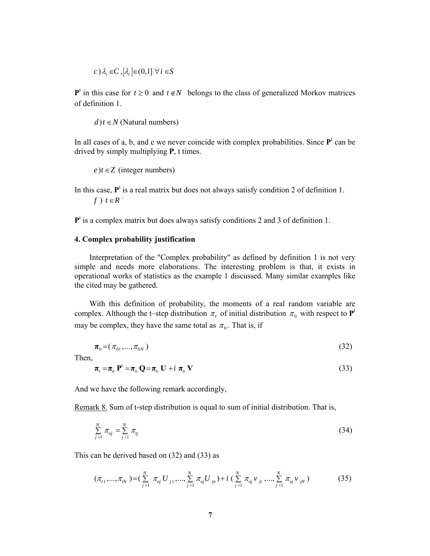$(c) \lambda_i \in C$ ,  $|\lambda_i| \in (0,1]$   $\forall i \in S$ 

 $P<sup>t</sup>$  in this case for  $t \ge 0$  and  $t \notin N$  belongs to the class of generalized Morkov matrices of definition 1.

 $d$ ) $t \in N$  (Natural numbers)

In all cases of a, b, and c we never coincide with complex probabilities. Since  $P<sup>t</sup>$  can be drived by simply multiplying **P**, t times.

 $e$ ) $t \in Z$  (integer numbers)

In this case,  $P<sup>t</sup>$  is a real matrix but does not always satisfy condition 2 of definition 1.  $f$ )  $t \in R^-$ 

P<sup>t</sup> is a complex matrix but does always satisfy conditions 2 and 3 of definition 1.

### **4. Complex probability justification**

 Interpretation of the "Complex probability" as defined by definition 1 is not very simple and needs more elaborations. The interesting problem is that, it exists in operational works of statistics as the example 1 discussed. Many similar examples like the cited may be gathered.

 With this definition of probability, the moments of a real random variable are complex. Although the t–step distribution  $\pi$ , of initial distribution  $\pi$ <sub>0</sub> with respect to  $\mathbf{P}^t$ may be complex, they have the same total as  $\pi_0$ . That is, if

$$
\boldsymbol{\pi}_0 = (\pi_{01}, ..., \pi_{0N}) \tag{32}
$$

Then,

$$
\boldsymbol{\pi}_{t} = \boldsymbol{\pi}_{o} \ \mathbf{P}^{t} = \boldsymbol{\pi}_{o} \ \mathbf{Q} = \boldsymbol{\pi}_{o} \ \mathbf{U} + i \ \boldsymbol{\pi}_{o} \ \mathbf{V}
$$
\n<sup>(33)</sup>

And we have the following remark accordingly,

Remark 8. Sum of t-step distribution is equal to sum of initial distribution. That is,

$$
\sum_{j=1}^{N} \pi_{oj} = \sum_{j=1}^{N} \pi_{ij}
$$
\n(34)

This can be derived based on (32) and (33) as

$$
(\pi_{t1},...,\pi_{tN}) = (\sum_{j=1}^{N} \pi_{oj} U_{j1},...,\sum_{j=1}^{N} \pi_{oj} U_{jn}) + i (\sum_{j=1}^{N} \pi_{oj} V_{ji},...,\sum_{j=1}^{N} \pi_{oj} V_{jN})
$$
(35)